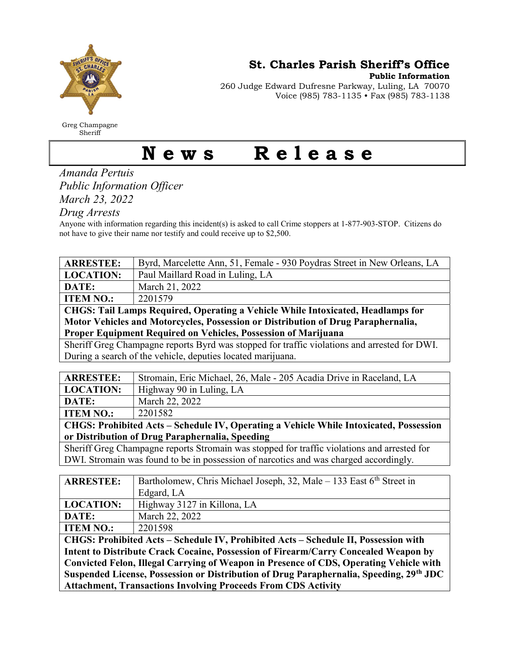

Greg Champagne Sheriff

St. Charles Parish Sheriff's Office

Public Information

260 Judge Edward Dufresne Parkway, Luling, LA 70070 Voice (985) 783-1135 • Fax (985) 783-1138

## News Release

Amanda Pertuis Public Information Officer March 23, 2022

Drug Arrests

Anyone with information regarding this incident(s) is asked to call Crime stoppers at 1-877-903-STOP. Citizens do not have to give their name nor testify and could receive up to \$2,500.

| <b>ARRESTEE:</b>                                                                             | Byrd, Marcelette Ann, 51, Female - 930 Poydras Street in New Orleans, LA          |
|----------------------------------------------------------------------------------------------|-----------------------------------------------------------------------------------|
| <b>LOCATION:</b>                                                                             | Paul Maillard Road in Luling, LA                                                  |
| DATE:                                                                                        | March 21, 2022                                                                    |
| <b>ITEM NO.:</b>                                                                             | 2201579                                                                           |
| CHGS: Tail Lamps Required, Operating a Vehicle While Intoxicated, Headlamps for              |                                                                                   |
| Motor Vehicles and Motorcycles, Possession or Distribution of Drug Paraphernalia,            |                                                                                   |
| Proper Equipment Required on Vehicles, Possession of Marijuana                               |                                                                                   |
| Sheriff Greg Champagne reports Byrd was stopped for traffic violations and arrested for DWI. |                                                                                   |
| During a search of the vehicle, deputies located marijuana.                                  |                                                                                   |
|                                                                                              |                                                                                   |
| <b>ARRESTEE:</b>                                                                             | Stromain, Eric Michael, 26, Male - 205 Acadia Drive in Raceland, LA               |
| <b>LOCATION:</b>                                                                             | Highway 90 in Luling, LA                                                          |
| DATE:                                                                                        | March 22, 2022                                                                    |
| <b>ITEM NO.:</b>                                                                             | 2201582                                                                           |
| CHGS: Prohibited Acts - Schedule IV, Operating a Vehicle While Intoxicated, Possession       |                                                                                   |
| or Distribution of Drug Paraphernalia, Speeding                                              |                                                                                   |
| Sheriff Greg Champagne reports Stromain was stopped for traffic violations and arrested for  |                                                                                   |
| DWI. Stromain was found to be in possession of narcotics and was charged accordingly.        |                                                                                   |
|                                                                                              |                                                                                   |
| <b>ARRESTEE:</b>                                                                             | Bartholomew, Chris Michael Joseph, 32, Male $-133$ East 6 <sup>th</sup> Street in |
|                                                                                              | Edgard, LA                                                                        |
| <b>LOCATION:</b>                                                                             | Highway 3127 in Killona, LA                                                       |
| DATE:                                                                                        | March 22, 2022                                                                    |
| <b>ITEM NO.:</b>                                                                             | 2201598                                                                           |
| CHGS: Prohibited Acts - Schedule IV, Prohibited Acts - Schedule II, Possession with          |                                                                                   |
| Intent to Distribute Crack Cocaine, Possession of Firearm/Carry Concealed Weapon by          |                                                                                   |
| Convicted Felon, Illegal Carrying of Weapon in Presence of CDS, Operating Vehicle with       |                                                                                   |
| Suspended License, Possession or Distribution of Drug Paraphernalia, Speeding, 29th JDC      |                                                                                   |
|                                                                                              |                                                                                   |